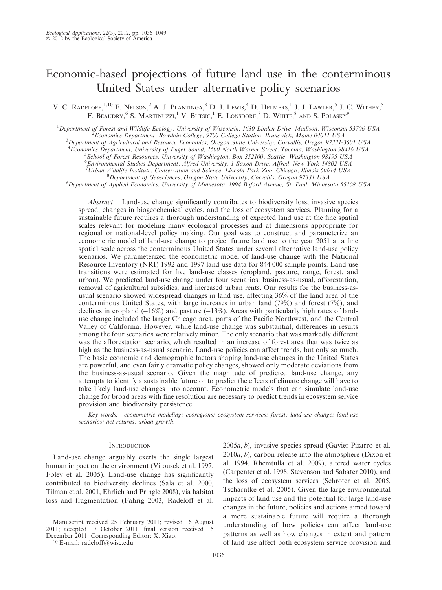# Economic-based projections of future land use in the conterminous United States under alternative policy scenarios

V. C. RADELOFF,<sup>1,10</sup> E. Nelson,<sup>2</sup> A. J. Plantinga,<sup>3</sup> D. J. Lewis,<sup>4</sup> D. Helmers,<sup>1</sup> J. J. Lawler,<sup>5</sup> J. C. Withey,<sup>5</sup> F. Beaudry, <sup>6</sup> S. Martinuzzi, <sup>1</sup> V. Butsic, <sup>1</sup> E. Lonsdorf, <sup>7</sup> D. White, <sup>8</sup> and S. Polasky <sup>9</sup>

<sup>1</sup>Department of Forest and Wildlife Ecology, University of Wisconsin, 1630 Linden Drive, Madison, Wisconsin 53706 USA<br><sup>2</sup>Economics Department, Boydoin College, 9700 College Station, Brunswick, Maine 04011 USA  $^{2}$ Economics Department, Bowdoin College, 9700 College Station, Brunswick, Maine 04011 USA

Department of Agricultural and Resource Economics, Oregon State University, Corvallis, Oregon 97331-3601 USA

<sup>4</sup> Economics Department, University of Puget Sound, 1500 North Warner Street, Tacoma, Washington 98416 USA<br><sup>5</sup> School of Egrest Resources, University of Washington, Box 352100, Seattle, Washington 98195 USA

<sup>5</sup>School of Forest Resources, University of Washington, Box 352100, Seattle, Washington 98195 USA

6 Environmental Studies Department, Alfred University, 1 Saxon Drive, Alfred, New York 14802 USA

<sup>7</sup> Urban Wildlife Institute, Conservation and Science, Lincoln Park Zoo, Chicago, Illinois 60614 USA<br><sup>8</sup> Department of Geograpiacs, Organ State University, Convallis, Organ 07331 USA

 ${}^{8}$ Department of Geosciences, Oregon State University, Corvallis, Oregon 97331 USA

 $^9$ Department of Applied Economics, University of Minnesota, 1994 Buford Avenue, St. Paul, Minnesota 55108 USA

Abstract. Land-use change significantly contributes to biodiversity loss, invasive species spread, changes in biogeochemical cycles, and the loss of ecosystem services. Planning for a sustainable future requires a thorough understanding of expected land use at the fine spatial scales relevant for modeling many ecological processes and at dimensions appropriate for regional or national-level policy making. Our goal was to construct and parameterize an econometric model of land-use change to project future land use to the year 2051 at a fine spatial scale across the conterminous United States under several alternative land-use policy scenarios. We parameterized the econometric model of land-use change with the National Resource Inventory (NRI) 1992 and 1997 land-use data for 844 000 sample points. Land-use transitions were estimated for five land-use classes (cropland, pasture, range, forest, and urban). We predicted land-use change under four scenarios: business-as-usual, afforestation, removal of agricultural subsidies, and increased urban rents. Our results for the business-asusual scenario showed widespread changes in land use, affecting 36% of the land area of the conterminous United States, with large increases in urban land (79%) and forest (7%), and declines in cropland  $(-16%)$  and pasture  $(-13%)$ . Areas with particularly high rates of landuse change included the larger Chicago area, parts of the Pacific Northwest, and the Central Valley of California. However, while land-use change was substantial, differences in results among the four scenarios were relatively minor. The only scenario that was markedly different was the afforestation scenario, which resulted in an increase of forest area that was twice as high as the business-as-usual scenario. Land-use policies can affect trends, but only so much. The basic economic and demographic factors shaping land-use changes in the United States are powerful, and even fairly dramatic policy changes, showed only moderate deviations from the business-as-usual scenario. Given the magnitude of predicted land-use change, any attempts to identify a sustainable future or to predict the effects of climate change will have to take likely land-use changes into account. Econometric models that can simulate land-use change for broad areas with fine resolution are necessary to predict trends in ecosystem service provision and biodiversity persistence.

Key words: econometric modeling; ecoregions; ecosystem services; forest; land-use change; land-use scenarios; net returns; urban growth.

## **INTRODUCTION**

Land-use change arguably exerts the single largest human impact on the environment (Vitousek et al. 1997, Foley et al. 2005). Land-use change has significantly contributed to biodiversity declines (Sala et al. 2000, Tilman et al. 2001, Ehrlich and Pringle 2008), via habitat loss and fragmentation (Fahrig 2003, Radeloff et al.

Manuscript received 25 February 2011; revised 16 August 2011; accepted 17 October 2011; final version received 15 December 2011. Corresponding Editor: X. Xiao.

<sup>10</sup> E-mail: radeloff@wisc.edu

2005a, b), invasive species spread (Gavier-Pizarro et al.  $2010a, b$ ), carbon release into the atmosphere (Dixon et al. 1994, Rhemtulla et al. 2009), altered water cycles (Carpenter et al. 1998, Stevenson and Sabater 2010), and the loss of ecosystem services (Schroter et al. 2005, Tscharntke et al. 2005). Given the large environmental impacts of land use and the potential for large land-use changes in the future, policies and actions aimed toward a more sustainable future will require a thorough understanding of how policies can affect land-use patterns as well as how changes in extent and pattern of land use affect both ecosystem service provision and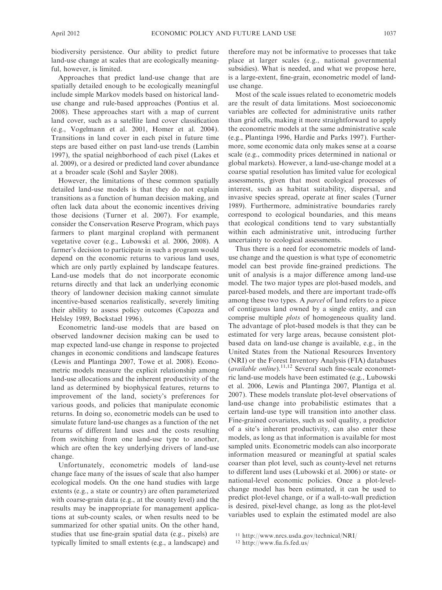Approaches that predict land-use change that are spatially detailed enough to be ecologically meaningful include simple Markov models based on historical landuse change and rule-based approaches (Pontius et al. 2008). These approaches start with a map of current land cover, such as a satellite land cover classification (e.g., Vogelmann et al. 2001, Homer et al. 2004). Transitions in land cover in each pixel in future time steps are based either on past land-use trends (Lambin 1997), the spatial neighborhood of each pixel (Lakes et al. 2009), or a desired or predicted land cover abundance at a broader scale (Sohl and Sayler 2008).

However, the limitations of these common spatially detailed land-use models is that they do not explain transitions as a function of human decision making, and often lack data about the economic incentives driving those decisions (Turner et al. 2007). For example, consider the Conservation Reserve Program, which pays farmers to plant marginal cropland with permanent vegetative cover (e.g., Lubowski et al. 2006, 2008). A farmer's decision to participate in such a program would depend on the economic returns to various land uses, which are only partly explained by landscape features. Land-use models that do not incorporate economic returns directly and that lack an underlying economic theory of landowner decision making cannot simulate incentive-based scenarios realistically, severely limiting their ability to assess policy outcomes (Capozza and Helsley 1989, Bockstael 1996).

Econometric land-use models that are based on observed landowner decision making can be used to map expected land-use change in response to projected changes in economic conditions and landscape features (Lewis and Plantinga 2007, Towe et al. 2008). Econometric models measure the explicit relationship among land-use allocations and the inherent productivity of the land as determined by biophysical features, returns to improvement of the land, society's preferences for various goods, and policies that manipulate economic returns. In doing so, econometric models can be used to simulate future land-use changes as a function of the net returns of different land uses and the costs resulting from switching from one land-use type to another, which are often the key underlying drivers of land-use change.

Unfortunately, econometric models of land-use change face many of the issues of scale that also hamper ecological models. On the one hand studies with large extents (e.g., a state or country) are often parameterized with coarse-grain data (e.g., at the county level) and the results may be inappropriate for management applications at sub-county scales, or when results need to be summarized for other spatial units. On the other hand, studies that use fine-grain spatial data (e.g., pixels) are typically limited to small extents (e.g., a landscape) and therefore may not be informative to processes that take place at larger scales (e.g., national governmental subsidies). What is needed, and what we propose here, is a large-extent, fine-grain, econometric model of landuse change.

Most of the scale issues related to econometric models are the result of data limitations. Most socioeconomic variables are collected for administrative units rather than grid cells, making it more straightforward to apply the econometric models at the same administrative scale (e.g., Plantinga 1996, Hardie and Parks 1997). Furthermore, some economic data only makes sense at a coarse scale (e.g., commodity prices determined in national or global markets). However, a land-use-change model at a coarse spatial resolution has limited value for ecological assessments, given that most ecological processes of interest, such as habitat suitability, dispersal, and invasive species spread, operate at finer scales (Turner 1989). Furthermore, administrative boundaries rarely correspond to ecological boundaries, and this means that ecological conditions tend to vary substantially within each administrative unit, introducing further uncertainty to ecological assessments.

Thus there is a need for econometric models of landuse change and the question is what type of econometric model can best provide fine-grained predictions. The unit of analysis is a major difference among land-use model. The two major types are plot-based models, and parcel-based models, and there are important trade-offs among these two types. A *parcel* of land refers to a piece of contiguous land owned by a single entity, and can comprise multiple plots of homogeneous quality land. The advantage of plot-based models is that they can be estimated for very large areas, because consistent plotbased data on land-use change is available, e.g., in the United States from the National Resources Inventory (NRI) or the Forest Inventory Analysis (FIA) databases (available online).<sup>11,12</sup> Several such fine-scale econometric land-use models have been estimated (e.g., Lubowski et al. 2006, Lewis and Plantinga 2007, Plantiga et al. 2007). These models translate plot-level observations of land-use change into probabilistic estimates that a certain land-use type will transition into another class. Fine-grained covariates, such as soil quality, a predictor of a site's inherent productivity, can also enter these models, as long as that information is available for most sampled units. Econometric models can also incorporate information measured or meaningful at spatial scales coarser than plot level, such as county-level net returns to different land uses (Lubowski et al. 2006) or state- or national-level economic policies. Once a plot-levelchange model has been estimated, it can be used to predict plot-level change, or if a wall-to-wall prediction is desired, pixel-level change, as long as the plot-level variables used to explain the estimated model are also

<sup>11</sup> http://www.nrcs.usda.gov/technical/NRI/

<sup>12</sup> http://www.fia.fs.fed.us/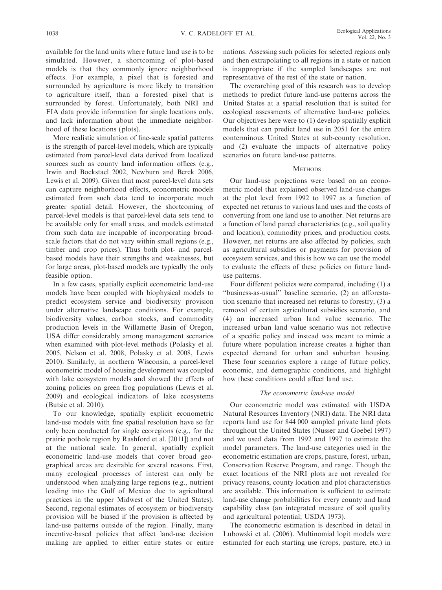available for the land units where future land use is to be simulated. However, a shortcoming of plot-based models is that they commonly ignore neighborhood effects. For example, a pixel that is forested and surrounded by agriculture is more likely to transition to agriculture itself, than a forested pixel that is surrounded by forest. Unfortunately, both NRI and FIA data provide information for single locations only, and lack information about the immediate neighborhood of these locations (plots).

More realistic simulation of fine-scale spatial patterns is the strength of parcel-level models, which are typically estimated from parcel-level data derived from localized sources such as county land information offices (e.g., Irwin and Bockstael 2002, Newburn and Berck 2006, Lewis et al. 2009). Given that most parcel-level data sets can capture neighborhood effects, econometric models estimated from such data tend to incorporate much greater spatial detail. However, the shortcoming of parcel-level models is that parcel-level data sets tend to be available only for small areas, and models estimated from such data are incapable of incorporating broadscale factors that do not vary within small regions (e.g., timber and crop prices). Thus both plot- and parcelbased models have their strengths and weaknesses, but for large areas, plot-based models are typically the only feasible option.

In a few cases, spatially explicit econometric land-use models have been coupled with biophysical models to predict ecosystem service and biodiversity provision under alternative landscape conditions. For example, biodiversity values, carbon stocks, and commodity production levels in the Willamette Basin of Oregon, USA differ considerably among management scenarios when examined with plot-level methods (Polasky et al. 2005, Nelson et al. 2008, Polasky et al. 2008, Lewis 2010). Similarly, in northern Wisconsin, a parcel-level econometric model of housing development was coupled with lake ecosystem models and showed the effects of zoning policies on green frog populations (Lewis et al. 2009) and ecological indicators of lake ecosystems (Butsic et al. 2010).

To our knowledge, spatially explicit econometric land-use models with fine spatial resolution have so far only been conducted for single ecoregions (e.g., for the prairie pothole region by Rashford et al. [2011]) and not at the national scale. In general, spatially explicit econometric land-use models that cover broad geographical areas are desirable for several reasons. First, many ecological processes of interest can only be understood when analyzing large regions (e.g., nutrient loading into the Gulf of Mexico due to agricultural practices in the upper Midwest of the United States). Second, regional estimates of ecosystem or biodiversity provision will be biased if the provision is affected by land-use patterns outside of the region. Finally, many incentive-based policies that affect land-use decision making are applied to either entire states or entire

nations. Assessing such policies for selected regions only and then extrapolating to all regions in a state or nation is inappropriate if the sampled landscapes are not representative of the rest of the state or nation.

The overarching goal of this research was to develop methods to predict future land-use patterns across the United States at a spatial resolution that is suited for ecological assessments of alternative land-use policies. Our objectives here were to (1) develop spatially explicit models that can predict land use in 2051 for the entire conterminous United States at sub-county resolution, and (2) evaluate the impacts of alternative policy scenarios on future land-use patterns.

## **METHODS**

Our land-use projections were based on an econometric model that explained observed land-use changes at the plot level from 1992 to 1997 as a function of expected net returns to various land uses and the costs of converting from one land use to another. Net returns are a function of land parcel characteristics (e.g., soil quality and location), commodity prices, and production costs. However, net returns are also affected by policies, such as agricultural subsidies or payments for provision of ecosystem services, and this is how we can use the model to evaluate the effects of these policies on future landuse patterns.

Four different policies were compared, including (1) a ''business-as-usual'' baseline scenario, (2) an afforestation scenario that increased net returns to forestry, (3) a removal of certain agricultural subsidies scenario, and (4) an increased urban land value scenario. The increased urban land value scenario was not reflective of a specific policy and instead was meant to mimic a future where population increase creates a higher than expected demand for urban and suburban housing. These four scenarios explore a range of future policy, economic, and demographic conditions, and highlight how these conditions could affect land use.

## The econometric land-use model

Our econometric model was estimated with USDA Natural Resources Inventory (NRI) data. The NRI data reports land use for 844 000 sampled private land plots throughout the United States (Nusser and Goebel 1997) and we used data from 1992 and 1997 to estimate the model parameters. The land-use categories used in the econometric estimation are crops, pasture, forest, urban, Conservation Reserve Program, and range. Though the exact locations of the NRI plots are not revealed for privacy reasons, county location and plot characteristics are available. This information is sufficient to estimate land-use change probabilities for every county and land capability class (an integrated measure of soil quality and agricultural potential; USDA 1973).

The econometric estimation is described in detail in Lubowski et al. (2006). Multinomial logit models were estimated for each starting use (crops, pasture, etc.) in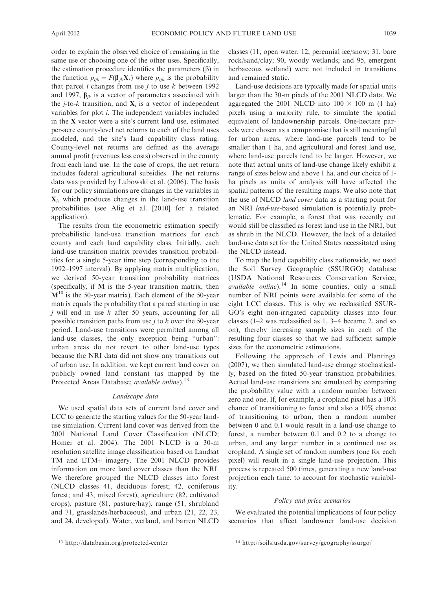order to explain the observed choice of remaining in the same use or choosing one of the other uses. Specifically, the estimation procedure identifies the parameters  $(\beta)$  in the function  $p_{ijk} = F(\beta_{ik}X_i)$  where  $p_{ijk}$  is the probability that parcel  $i$  changes from use  $j$  to use  $k$  between 1992 and 1997,  $\beta_{ik}$  is a vector of parameters associated with the *j*-to-*k* transition, and  $X_i$  is a vector of independent variables for plot i. The independent variables included in the X vector were a site's current land use, estimated per-acre county-level net returns to each of the land uses modeled, and the site's land capability class rating. County-level net returns are defined as the average annual profit (revenues less costs) observed in the county from each land use. In the case of crops, the net return includes federal agricultural subsidies. The net returns data was provided by Lubowski et al. (2006). The basis for our policy simulations are changes in the variables in  $X_i$ , which produces changes in the land-use transition probabilities (see Alig et al. [2010] for a related application).

The results from the econometric estimation specify probabilistic land-use transition matrices for each county and each land capability class. Initially, each land-use transition matrix provides transition probabilities for a single 5-year time step (corresponding to the 1992–1997 interval). By applying matrix multiplication, we derived 50-year transition probability matrices (specifically, if M is the 5-year transition matrix, then  $M^{10}$  is the 50-year matrix). Each element of the 50-year matrix equals the probability that a parcel starting in use  $j$  will end in use  $k$  after 50 years, accounting for all possible transition paths from use  $j$  to  $k$  over the 50-year period. Land-use transitions were permitted among all land-use classes, the only exception being ''urban'': urban areas do not revert to other land-use types because the NRI data did not show any transitions out of urban use. In addition, we kept current land cover on publicly owned land constant (as mapped by the Protected Areas Database; available online).<sup>1</sup>

#### Landscape data

We used spatial data sets of current land cover and LCC to generate the starting values for the 50-year landuse simulation. Current land cover was derived from the 2001 National Land Cover Classification (NLCD; Homer et al. 2004). The 2001 NLCD is a 30-m resolution satellite image classification based on Landsat TM and ETM+ imagery. The 2001 NLCD provides information on more land cover classes than the NRI. We therefore grouped the NLCD classes into forest (NLCD classes 41, deciduous forest; 42, coniferous forest; and 43, mixed forest), agriculture (82, cultivated crops), pasture (81, pasture/hay), range (51, shrubland and 71, grasslands/herbaceous), and urban (21, 22, 23, and 24, developed). Water, wetland, and barren NLCD classes (11, open water; 12, perennial ice/snow; 31, bare rock/sand/clay; 90, woody wetlands; and 95, emergent herbaceous wetland) were not included in transitions and remained static.

Land-use decisions are typically made for spatial units larger than the 30-m pixels of the 2001 NLCD data. We aggregated the 2001 NLCD into  $100 \times 100$  m (1 ha) pixels using a majority rule, to simulate the spatial equivalent of landownership parcels. One-hectare parcels were chosen as a compromise that is still meaningful for urban areas, where land-use parcels tend to be smaller than 1 ha, and agricultural and forest land use, where land-use parcels tend to be larger. However, we note that actual units of land-use change likely exhibit a range of sizes below and above 1 ha, and our choice of 1 ha pixels as units of analysis will have affected the spatial patterns of the resulting maps. We also note that the use of NLCD land cover data as a starting point for an NRI land-use-based simulation is potentially problematic. For example, a forest that was recently cut would still be classified as forest land use in the NRI, but as shrub in the NLCD. However, the lack of a detailed land-use data set for the United States necessitated using the NLCD instead.

To map the land capability class nationwide, we used the Soil Survey Geographic (SSURGO) database (USDA National Resources Conservation Service; *available online*).<sup>14</sup> In some counties, only a small number of NRI points were available for some of the eight LCC classes. This is why we reclassified SSUR-GO's eight non-irrigated capability classes into four classes (1–2 was reclassified as 1, 3–4 became 2, and so on), thereby increasing sample sizes in each of the resulting four classes so that we had sufficient sample sizes for the econometric estimations.

Following the approach of Lewis and Plantinga (2007), we then simulated land-use change stochastically, based on the fitted 50-year transition probabilities. Actual land-use transitions are simulated by comparing the probability value with a random number between zero and one. If, for example, a cropland pixel has a 10% chance of transitioning to forest and also a 10% chance of transitioning to urban, then a random number between 0 and 0.1 would result in a land-use change to forest, a number between 0.1 and 0.2 to a change to urban, and any larger number in a continued use as cropland. A single set of random numbers (one for each pixel) will result in a single land-use projection. This process is repeated 500 times, generating a new land-use projection each time, to account for stochastic variability.

### Policy and price scenarios

We evaluated the potential implications of four policy scenarios that affect landowner land-use decision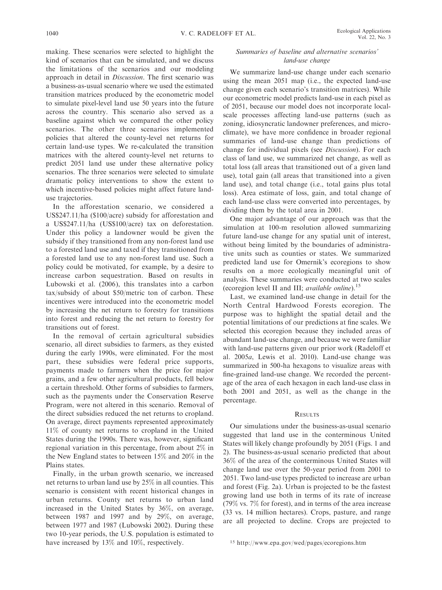making. These scenarios were selected to highlight the kind of scenarios that can be simulated, and we discuss the limitations of the scenarios and our modeling approach in detail in Discussion. The first scenario was a business-as-usual scenario where we used the estimated transition matrices produced by the econometric model to simulate pixel-level land use 50 years into the future across the country. This scenario also served as a baseline against which we compared the other policy scenarios. The other three scenarios implemented policies that altered the county-level net returns for certain land-use types. We re-calculated the transition matrices with the altered county-level net returns to predict 2051 land use under these alternative policy scenarios. The three scenarios were selected to simulate dramatic policy interventions to show the extent to which incentive-based policies might affect future landuse trajectories.

In the afforestation scenario, we considered a US\$247.11/ha (\$100/acre) subsidy for afforestation and a US\$247.11/ha (US\$100/acre) tax on deforestation. Under this policy a landowner would be given the subsidy if they transitioned from any non-forest land use to a forested land use and taxed if they transitioned from a forested land use to any non-forest land use. Such a policy could be motivated, for example, by a desire to increase carbon sequestration. Based on results in Lubowski et al. (2006), this translates into a carbon tax/subsidy of about \$50/metric ton of carbon. These incentives were introduced into the econometric model by increasing the net return to forestry for transitions into forest and reducing the net return to forestry for transitions out of forest.

In the removal of certain agricultural subsidies scenario, all direct subsidies to farmers, as they existed during the early 1990s, were eliminated. For the most part, these subsidies were federal price supports, payments made to farmers when the price for major grains, and a few other agricultural products, fell below a certain threshold. Other forms of subsidies to farmers, such as the payments under the Conservation Reserve Program, were not altered in this scenario. Removal of the direct subsidies reduced the net returns to cropland. On average, direct payments represented approximately 11% of county net returns to cropland in the United States during the 1990s. There was, however, significant regional variation in this percentage, from about 2% in the New England states to between 15% and 20% in the Plains states.

Finally, in the urban growth scenario, we increased net returns to urban land use by 25% in all counties. This scenario is consistent with recent historical changes in urban returns. County net returns to urban land increased in the United States by 36%, on average, between 1987 and 1997 and by 29%, on average, between 1977 and 1987 (Lubowski 2002). During these two 10-year periods, the U.S. population is estimated to have increased by 13% and 10%, respectively.

## Summaries of baseline and alternative scenarios' land-use change

We summarize land-use change under each scenario using the mean 2051 map (i.e., the expected land-use change given each scenario's transition matrices). While our econometric model predicts land-use in each pixel as of 2051, because our model does not incorporate localscale processes affecting land-use patterns (such as zoning, idiosyncratic landowner preferences, and microclimate), we have more confidence in broader regional summaries of land-use change than predictions of change for individual pixels (see Discussion). For each class of land use, we summarized net change, as well as total loss (all areas that transitioned out of a given land use), total gain (all areas that transitioned into a given land use), and total change (i.e., total gains plus total loss). Area estimate of loss, gain, and total change of each land-use class were converted into percentages, by dividing them by the total area in 2001.

One major advantage of our approach was that the simulation at 100-m resolution allowed summarizing future land-use change for any spatial unit of interest, without being limited by the boundaries of administrative units such as counties or states. We summarized predicted land use for Omernik's ecoregions to show results on a more ecologically meaningful unit of analysis. These summaries were conducted at two scales (ecoregion level II and III; *available online*).<sup>15</sup>

Last, we examined land-use change in detail for the North Central Hardwood Forests ecoregion. The purpose was to highlight the spatial detail and the potential limitations of our predictions at fine scales. We selected this ecoregion because they included areas of abundant land-use change, and because we were familiar with land-use patterns given our prior work (Radeloff et al. 2005a, Lewis et al. 2010). Land-use change was summarized in 500-ha hexagons to visualize areas with fine-grained land-use change. We recorded the percentage of the area of each hexagon in each land-use class in both 2001 and 2051, as well as the change in the percentage.

#### **RESULTS**

Our simulations under the business-as-usual scenario suggested that land use in the conterminous United States will likely change profoundly by 2051 (Figs. 1 and 2). The business-as-usual scenario predicted that about 36% of the area of the conterminous United States will change land use over the 50-year period from 2001 to 2051. Two land-use types predicted to increase are urban and forest (Fig. 2a). Urban is projected to be the fastest growing land use both in terms of its rate of increase (79% vs. 7% for forest), and in terms of the area increase (33 vs. 14 million hectares). Crops, pasture, and range are all projected to decline. Crops are projected to

<sup>15</sup> http://www.epa.gov/wed/pages/ecoregions.htm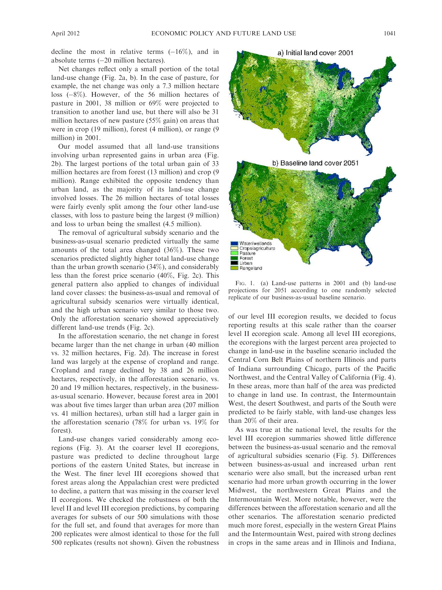decline the most in relative terms  $(-16\%)$ , and in absolute terms  $(-20 \text{ million hectares}).$ 

Net changes reflect only a small portion of the total land-use change (Fig. 2a, b). In the case of pasture, for example, the net change was only a 7.3 million hectare loss (-8%). However, of the 56 million hectares of pasture in 2001, 38 million or 69% were projected to transition to another land use, but there will also be 31 million hectares of new pasture (55% gain) on areas that were in crop (19 million), forest (4 million), or range (9 million) in 2001.

Our model assumed that all land-use transitions involving urban represented gains in urban area (Fig. 2b). The largest portions of the total urban gain of 33 million hectares are from forest (13 million) and crop (9 million). Range exhibited the opposite tendency than urban land, as the majority of its land-use change involved losses. The 26 million hectares of total losses were fairly evenly split among the four other land-use classes, with loss to pasture being the largest (9 million) and loss to urban being the smallest (4.5 million).

The removal of agricultural subsidy scenario and the business-as-usual scenario predicted virtually the same amounts of the total area changed (36%). These two scenarios predicted slightly higher total land-use change than the urban growth scenario (34%), and considerably less than the forest price scenario (40%, Fig. 2c). This general pattern also applied to changes of individual land cover classes: the business-as-usual and removal of agricultural subsidy scenarios were virtually identical, and the high urban scenario very similar to those two. Only the afforestation scenario showed appreciatively different land-use trends (Fig. 2c).

In the afforestation scenario, the net change in forest became larger than the net change in urban (40 million vs. 32 million hectares, Fig. 2d). The increase in forest land was largely at the expense of cropland and range. Cropland and range declined by 38 and 26 million hectares, respectively, in the afforestation scenario, vs. 20 and 19 million hectares, respectively, in the businessas-usual scenario. However, because forest area in 2001 was about five times larger than urban area (207 million vs. 41 million hectares), urban still had a larger gain in the afforestation scenario (78% for urban vs. 19% for forest).

Land-use changes varied considerably among ecoregions (Fig. 3). At the coarser level II ecoregions, pasture was predicted to decline throughout large portions of the eastern United States, but increase in the West. The finer level III ecoregions showed that forest areas along the Appalachian crest were predicted to decline, a pattern that was missing in the coarser level II ecoregions. We checked the robustness of both the level II and level III ecoregion predictions, by comparing averages for subsets of our 500 simulations with those for the full set, and found that averages for more than 200 replicates were almost identical to those for the full 500 replicates (results not shown). Given the robustness



FIG. 1. (a) Land-use patterns in 2001 and (b) land-use projections for 2051 according to one randomly selected replicate of our business-as-usual baseline scenario.

of our level III ecoregion results, we decided to focus reporting results at this scale rather than the coarser level II ecoregion scale. Among all level III ecoregions, the ecoregions with the largest percent area projected to change in land-use in the baseline scenario included the Central Corn Belt Plains of northern Illinois and parts of Indiana surrounding Chicago, parts of the Pacific Northwest, and the Central Valley of California (Fig. 4). In these areas, more than half of the area was predicted to change in land use. In contrast, the Intermountain West, the desert Southwest, and parts of the South were predicted to be fairly stable, with land-use changes less than 20% of their area.

As was true at the national level, the results for the level III ecoregion summaries showed little difference between the business-as-usual scenario and the removal of agricultural subsidies scenario (Fig. 5). Differences between business-as-usual and increased urban rent scenario were also small, but the increased urban rent scenario had more urban growth occurring in the lower Midwest, the northwestern Great Plains and the Intermountain West. More notable, however, were the differences between the afforestation scenario and all the other scenarios. The afforestation scenario predicted much more forest, especially in the western Great Plains and the Intermountain West, paired with strong declines in crops in the same areas and in Illinois and Indiana,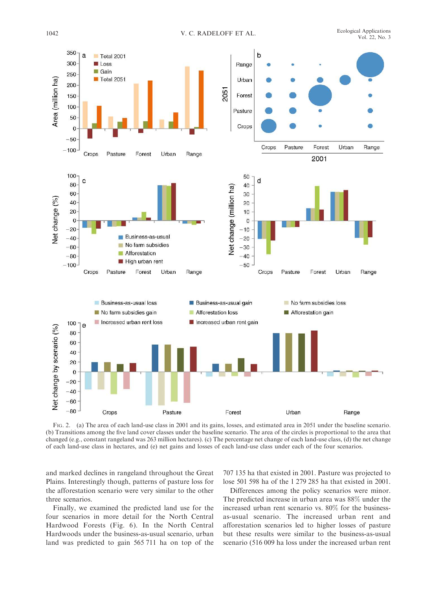

FIG. 2. (a) The area of each land-use class in 2001 and its gains, losses, and estimated area in 2051 under the baseline scenario. (b) Transitions among the five land cover classes under the baseline scenario. The area of the circles is proportional to the area that changed (e.g., constant rangeland was 263 million hectares). (c) The percentage net change of each land-use class, (d) the net change of each land-use class in hectares, and (e) net gains and losses of each land-use class under each of the four scenarios.

and marked declines in rangeland throughout the Great Plains. Interestingly though, patterns of pasture loss for the afforestation scenario were very similar to the other three scenarios.

Finally, we examined the predicted land use for the four scenarios in more detail for the North Central Hardwood Forests (Fig. 6). In the North Central Hardwoods under the business-as-usual scenario, urban land was predicted to gain 565 711 ha on top of the 707 135 ha that existed in 2001. Pasture was projected to lose 501 598 ha of the 1 279 285 ha that existed in 2001.

Differences among the policy scenarios were minor. The predicted increase in urban area was 88% under the increased urban rent scenario vs. 80% for the businessas-usual scenario. The increased urban rent and afforestation scenarios led to higher losses of pasture but these results were similar to the business-as-usual scenario (516 009 ha loss under the increased urban rent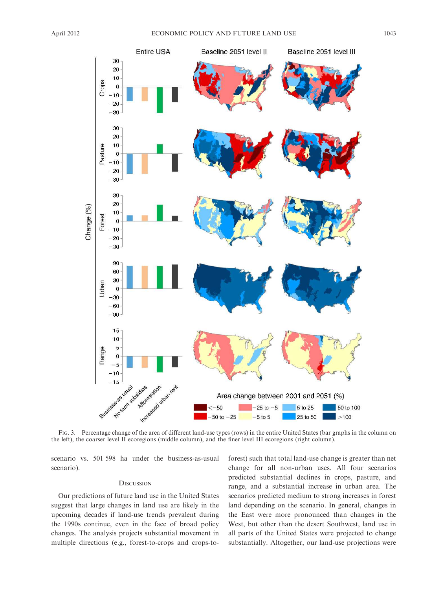

FIG. 3. Percentage change of the area of different land-use types (rows) in the entire United States (bar graphs in the column on the left), the coarser level II ecoregions (middle column), and the finer level III ecoregions (right column).

scenario vs. 501 598 ha under the business-as-usual scenario).

## **DISCUSSION**

Our predictions of future land use in the United States suggest that large changes in land use are likely in the upcoming decades if land-use trends prevalent during the 1990s continue, even in the face of broad policy changes. The analysis projects substantial movement in multiple directions (e.g., forest-to-crops and crops-toforest) such that total land-use change is greater than net change for all non-urban uses. All four scenarios predicted substantial declines in crops, pasture, and range, and a substantial increase in urban area. The scenarios predicted medium to strong increases in forest land depending on the scenario. In general, changes in the East were more pronounced than changes in the West, but other than the desert Southwest, land use in all parts of the United States were projected to change substantially. Altogether, our land-use projections were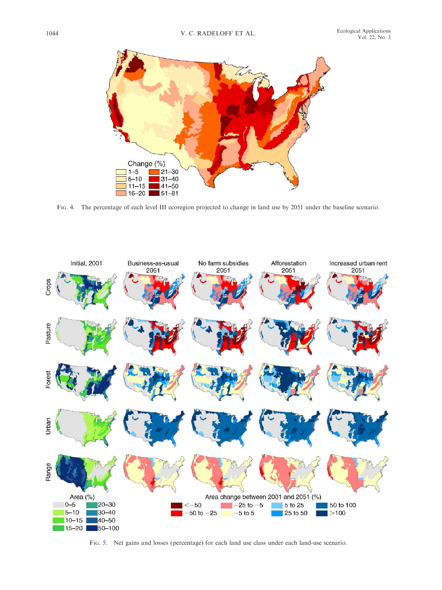

FIG. 4. The percentage of each level III ecoregion projected to change in land use by 2051 under the baseline scenario.



FIG. 5. Net gains and losses (percentage) for each land use class under each land-use scenario.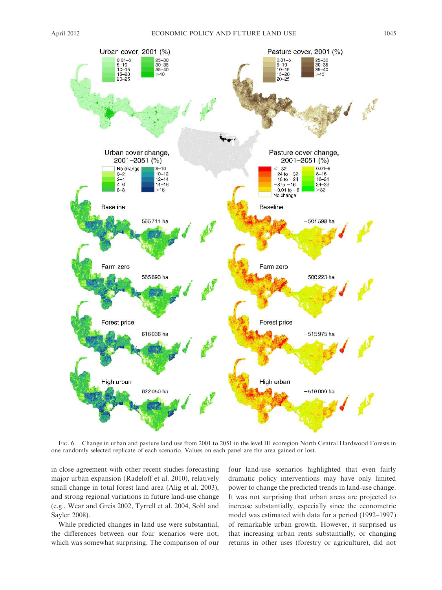

FIG. 6. Change in urban and pasture land use from 2001 to 2051 in the level III ecoregion North Central Hardwood Forests in one randomly selected replicate of each scenario. Values on each panel are the area gained or lost.

in close agreement with other recent studies forecasting major urban expansion (Radeloff et al. 2010), relatively small change in total forest land area (Alig et al. 2003), and strong regional variations in future land-use change (e.g., Wear and Greis 2002, Tyrrell et al. 2004, Sohl and Sayler 2008).

While predicted changes in land use were substantial, the differences between our four scenarios were not, which was somewhat surprising. The comparison of our four land-use scenarios highlighted that even fairly dramatic policy interventions may have only limited power to change the predicted trends in land-use change. It was not surprising that urban areas are projected to increase substantially, especially since the econometric model was estimated with data for a period (1992–1997) of remarkable urban growth. However, it surprised us that increasing urban rents substantially, or changing returns in other uses (forestry or agriculture), did not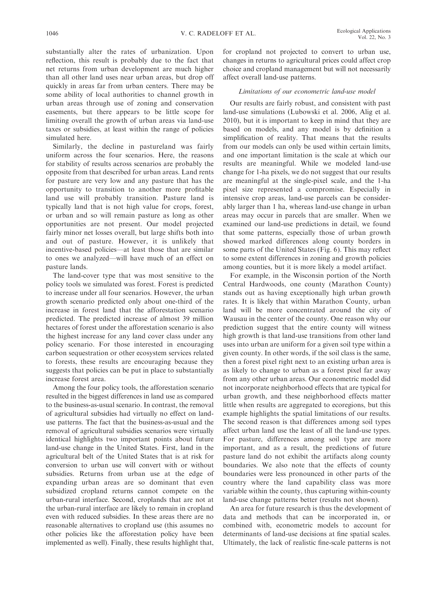substantially alter the rates of urbanization. Upon reflection, this result is probably due to the fact that net returns from urban development are much higher than all other land uses near urban areas, but drop off quickly in areas far from urban centers. There may be some ability of local authorities to channel growth in urban areas through use of zoning and conservation easements, but there appears to be little scope for limiting overall the growth of urban areas via land-use taxes or subsidies, at least within the range of policies simulated here.

Similarly, the decline in pastureland was fairly uniform across the four scenarios. Here, the reasons for stability of results across scenarios are probably the opposite from that described for urban areas. Land rents for pasture are very low and any pasture that has the opportunity to transition to another more profitable land use will probably transition. Pasture land is typically land that is not high value for crops, forest, or urban and so will remain pasture as long as other opportunities are not present. Our model projected fairly minor net losses overall, but large shifts both into and out of pasture. However, it is unlikely that incentive-based policies—at least those that are similar to ones we analyzed—will have much of an effect on pasture lands.

The land-cover type that was most sensitive to the policy tools we simulated was forest. Forest is predicted to increase under all four scenarios. However, the urban growth scenario predicted only about one-third of the increase in forest land that the afforestation scenario predicted. The predicted increase of almost 39 million hectares of forest under the afforestation scenario is also the highest increase for any land cover class under any policy scenario. For those interested in encouraging carbon sequestration or other ecosystem services related to forests, these results are encouraging because they suggests that policies can be put in place to substantially increase forest area.

Among the four policy tools, the afforestation scenario resulted in the biggest differences in land use as compared to the business-as-usual scenario. In contrast, the removal of agricultural subsidies had virtually no effect on landuse patterns. The fact that the business-as-usual and the removal of agricultural subsidies scenarios were virtually identical highlights two important points about future land-use change in the United States. First, land in the agricultural belt of the United States that is at risk for conversion to urban use will convert with or without subsidies. Returns from urban use at the edge of expanding urban areas are so dominant that even subsidized cropland returns cannot compete on the urban-rural interface. Second, croplands that are not at the urban-rural interface are likely to remain in cropland even with reduced subsidies. In these areas there are no reasonable alternatives to cropland use (this assumes no other policies like the afforestation policy have been implemented as well). Finally, these results highlight that,

for cropland not projected to convert to urban use, changes in returns to agricultural prices could affect crop choice and cropland management but will not necessarily affect overall land-use patterns.

## Limitations of our econometric land-use model

Our results are fairly robust, and consistent with past land-use simulations (Lubowski et al. 2006, Alig et al. 2010), but it is important to keep in mind that they are based on models, and any model is by definition a simplification of reality. That means that the results from our models can only be used within certain limits, and one important limitation is the scale at which our results are meaningful. While we modeled land-use change for 1-ha pixels, we do not suggest that our results are meaningful at the single-pixel scale, and the 1-ha pixel size represented a compromise. Especially in intensive crop areas, land-use parcels can be considerably larger than 1 ha, whereas land-use change in urban areas may occur in parcels that are smaller. When we examined our land-use predictions in detail, we found that some patterns, especially those of urban growth showed marked differences along county borders in some parts of the United States (Fig. 6). This may reflect to some extent differences in zoning and growth policies among counties, but it is more likely a model artifact.

For example, in the Wisconsin portion of the North Central Hardwoods, one county (Marathon County) stands out as having exceptionally high urban growth rates. It is likely that within Marathon County, urban land will be more concentrated around the city of Wausau in the center of the county. One reason why our prediction suggest that the entire county will witness high growth is that land-use transitions from other land uses into urban are uniform for a given soil type within a given county. In other words, if the soil class is the same, then a forest pixel right next to an existing urban area is as likely to change to urban as a forest pixel far away from any other urban areas. Our econometric model did not incorporate neighborhood effects that are typical for urban growth, and these neighborhood effects matter little when results are aggregated to ecoregions, but this example highlights the spatial limitations of our results. The second reason is that differences among soil types affect urban land use the least of all the land-use types. For pasture, differences among soil type are more important, and as a result, the predictions of future pasture land do not exhibit the artifacts along county boundaries. We also note that the effects of county boundaries were less pronounced in other parts of the country where the land capability class was more variable within the county, thus capturing within-county land-use change patterns better (results not shown).

An area for future research is thus the development of data and methods that can be incorporated in, or combined with, econometric models to account for determinants of land-use decisions at fine spatial scales. Ultimately, the lack of realistic fine-scale patterns is not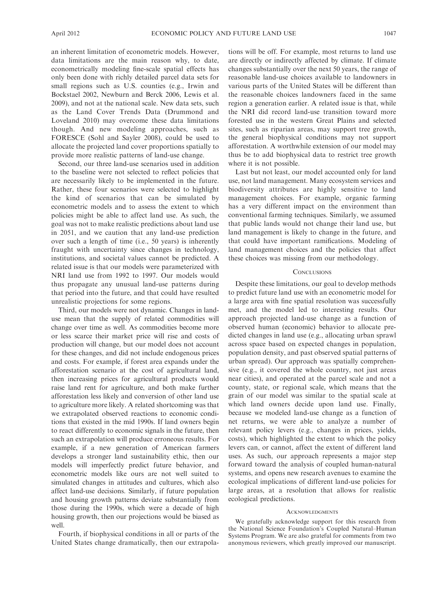an inherent limitation of econometric models. However, data limitations are the main reason why, to date, econometrically modeling fine-scale spatial effects has only been done with richly detailed parcel data sets for small regions such as U.S. counties (e.g., Irwin and Bockstael 2002, Newburn and Berck 2006, Lewis et al. 2009), and not at the national scale. New data sets, such as the Land Cover Trends Data (Drummond and Loveland 2010) may overcome these data limitations though. And new modeling approaches, such as FORESCE (Sohl and Sayler 2008), could be used to allocate the projected land cover proportions spatially to provide more realistic patterns of land-use change.

Second, our three land-use scenarios used in addition to the baseline were not selected to reflect policies that are necessarily likely to be implemented in the future. Rather, these four scenarios were selected to highlight the kind of scenarios that can be simulated by econometric models and to assess the extent to which policies might be able to affect land use. As such, the goal was not to make realistic predictions about land use in 2051, and we caution that any land-use prediction over such a length of time (i.e., 50 years) is inherently fraught with uncertainty since changes in technology, institutions, and societal values cannot be predicted. A related issue is that our models were parameterized with NRI land use from 1992 to 1997. Our models would thus propagate any unusual land-use patterns during that period into the future, and that could have resulted unrealistic projections for some regions.

Third, our models were not dynamic. Changes in landuse mean that the supply of related commodities will change over time as well. As commodities become more or less scarce their market price will rise and costs of production will change, but our model does not account for these changes, and did not include endogenous prices and costs. For example, if forest area expands under the afforestation scenario at the cost of agricultural land, then increasing prices for agricultural products would raise land rent for agriculture, and both make further afforestation less likely and conversion of other land use to agriculture more likely. A related shortcoming was that we extrapolated observed reactions to economic conditions that existed in the mid 1990s. If land owners begin to react differently to economic signals in the future, then such an extrapolation will produce erroneous results. For example, if a new generation of American farmers develops a stronger land sustainability ethic, then our models will imperfectly predict future behavior, and econometric models like ours are not well suited to simulated changes in attitudes and cultures, which also affect land-use decisions. Similarly, if future population and housing growth patterns deviate substantially from those during the 1990s, which were a decade of high housing growth, then our projections would be biased as well.

Fourth, if biophysical conditions in all or parts of the United States change dramatically, then our extrapolations will be off. For example, most returns to land use are directly or indirectly affected by climate. If climate changes substantially over the next 50 years, the range of reasonable land-use choices available to landowners in various parts of the United States will be different than the reasonable choices landowners faced in the same region a generation earlier. A related issue is that, while the NRI did record land-use transition toward more forested use in the western Great Plains and selected sites, such as riparian areas, may support tree growth, the general biophysical conditions may not support afforestation. A worthwhile extension of our model may thus be to add biophysical data to restrict tree growth where it is not possible.

Last but not least, our model accounted only for land use, not land management. Many ecosystem services and biodiversity attributes are highly sensitive to land management choices. For example, organic farming has a very different impact on the environment than conventional farming techniques. Similarly, we assumed that public lands would not change their land use, but land management is likely to change in the future, and that could have important ramifications. Modeling of land management choices and the policies that affect these choices was missing from our methodology.

### **CONCLUSIONS**

Despite these limitations, our goal to develop methods to predict future land use with an econometric model for a large area with fine spatial resolution was successfully met, and the model led to interesting results. Our approach projected land-use change as a function of observed human (economic) behavior to allocate predicted changes in land use (e.g., allocating urban sprawl across space based on expected changes in population, population density, and past observed spatial patterns of urban spread). Our approach was spatially comprehensive (e.g., it covered the whole country, not just areas near cities), and operated at the parcel scale and not a county, state, or regional scale, which means that the grain of our model was similar to the spatial scale at which land owners decide upon land use. Finally, because we modeled land-use change as a function of net returns, we were able to analyze a number of relevant policy levers (e.g., changes in prices, yields, costs), which highlighted the extent to which the policy levers can, or cannot, affect the extent of different land uses. As such, our approach represents a major step forward toward the analysis of coupled human-natural systems, and opens new research avenues to examine the ecological implications of different land-use policies for large areas, at a resolution that allows for realistic ecological predictions.

#### **ACKNOWLEDGMENTS**

We gratefully acknowledge support for this research from the National Science Foundation's Coupled Natural–Human Systems Program. We are also grateful for comments from two anonymous reviewers, which greatly improved our manuscript.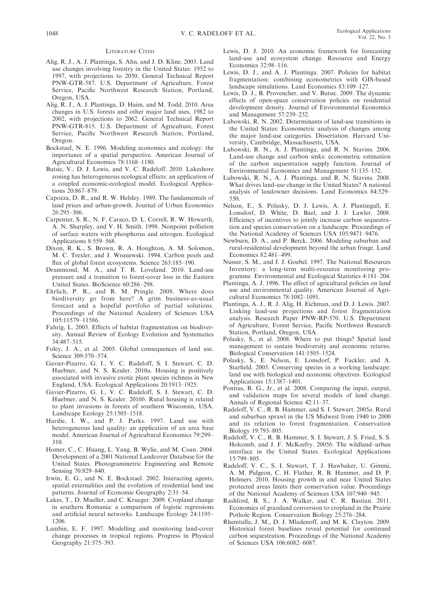#### LITERATURE CITED

- Alig, R. J., A. J. Plantinga, S. Ahn, and J. D. Kline. 2003. Land use changes involving forestry in the United States: 1952 to 1997, with projections to 2050. General Technical Report PNW-GTR-587. U.S. Department of Agriculture, Forest Service, Pacific Northwest Research Station, Portland, Oregon, USA.
- Alig, R. J., A. J. Plantinga, D. Haim, and M. Todd. 2010. Area changes in U.S. forests and other major land uses, 1982 to 2002, with projections to 2062. General Technical Report PNW-GTR-815. U.S. Department of Agriculture, Forest Service, Pacific Northwest Research Station, Portland, Oregon.
- Bockstael, N. E. 1996. Modeling economics and ecology: the importance of a spatial perspective. American Journal of Agricultural Economics 78:1168–1180.
- Butsic, V., D. J. Lewis, and V. C. Radeloff. 2010. Lakeshore zoning has heterogeneous ecological effects: an application of a coupled economic-ecological model. Ecological Applications 20:867–879.
- Capozza, D. R., and R. W. Helsley. 1989. The fundamentals of land prices and urban-growth. Journal of Urban Economics 26:295–306.
- Carpenter, S. R., N. F. Caraco, D. L. Correll, R. W. Howarth, A. N. Sharpley, and V. H. Smith. 1998. Nonpoint pollution of surface waters with phosphorus and nitrogen. Ecological Applications 8:559–568.
- Dixon, R. K., S. Brown, R. A. Houghton, A. M. Solomon, M. C. Trexler, and J. Wisniewski. 1994. Carbon pools and flux of global forest ecosystems. Science 263:185–190.
- Drummond, M. A., and T. R. Loveland. 2010. Land-use pressure and a transition to forest-cover loss in the Eastern United States. BioScience 60:286–298.
- Ehrlich, P. R., and R. M. Pringle. 2008. Where does biodiversity go from here? A grim business-as-usual forecast and a hopeful portfolio of partial solutions. Proceedings of the National Academy of Sciences USA 105:11579–11586.
- Fahrig, L. 2003. Effects of habitat fragmentation on biodiversity. Annual Review of Ecology Evolution and Systematics 34:487–515.
- Foley, J. A., et al. 2005. Global consequences of land use. Science 309:570–574.
- Gavier-Pizarro, G. I., V. C. Radeloff, S. I. Stewart, C. D. Huebner, and N. S. Keuler. 2010a. Housing is positively associated with invasive exotic plant species richness in New England, USA. Ecological Applications 20:1913–1925.
- Gavier-Pizarro, G. I., V. C. Radeloff, S. I. Stewart, C. D. Huebner, and N. S. Keuler. 2010b. Rural housing is related to plant invasions in forests of southern Wisconsin, USA. Landscape Ecology 25:1505–1518.
- Hardie, I. W., and P. J. Parks. 1997. Land use with heterogeneous land quality: an application of an area base model. American Journal of Agricultural Economics 79:299– 310.
- Homer, C., C. Huang, L. Yang, B. Wylie, and M. Coan. 2004. Development of a 2001 National Landcover Database for the United States. Photogrammetric Engineering and Remote Sensing 70:829–840.
- Irwin, E. G., and N. E. Bockstael. 2002. Interacting agents, spatial externalities and the evolution of residential land use patterns. Journal of Economic Geography 2:31–54.
- Lakes, T., D. Mueller, and C. Krueger. 2009. Cropland change in southern Romania: a comparison of logistic regressions and artificial neural networks. Landscape Ecology 24:1195– 1206.
- Lambin, E. F. 1997. Modelling and monitoring land-cover change processes in tropical regions. Progress in Physical Geography 21:375–393.
- Lewis, D. J. 2010. An economic framework for forecasting land-use and ecosystem change. Resource and Energy Economics 32:98–116.
- Lewis, D. J., and A. J. Plantinga. 2007. Policies for habitat fragmentation: combining econometrics with GIS-based landscape simulations. Land Economics 83:109–127.
- Lewis, D. J., B. Provencher, and V. Butsic. 2009. The dynamic effects of open-space conservation policies on residential development density. Journal of Environmental Economics and Management 57:239–252.
- Lubowski, R. N. 2002. Determinants of land-use transitions in the United States: Econometric analysis of changes among the major land-use categories. Dissertation. Harvard University, Cambridge, Massachusetts, USA.
- Lubowski, R. N., A. J. Plantinga, and R. N. Stavins. 2006. Land-use change and carbon sinks: econometric estimation of the carbon sequestration supply function. Journal of Environmental Economics and Management 51:135–152.
- Lubowski, R. N., A. J. Plantinga, and R. N. Stavins. 2008. What drives land-use change in the United States? A national analysis of landowner decisions. Land Economics 84:529– 550.
- Nelson, E., S. Polasky, D. J. Lewis, A. J. Plantingall, E. Lonsdorf, D. White, D. Bael, and J. J. Lawler. 2008. Efficiency of incentives to jointly increase carbon sequestration and species conservation on a landscape. Proceedings of the National Academy of Sciences USA 105:9471–9476.
- Newburn, D. A., and P. Berck. 2006. Modeling suburban and rural-residential development beyond the urban fringe. Land Economics 82:481–499.
- Nusser, S. M., and J. J. Goebel. 1997. The National Resources Inventory: a long-term multi-resource monitoring programme. Environmental and Ecological Statistics 4:181–204.
- Plantinga, A. J. 1996. The effect of agricultural policies on land use and environmental quality. American Journal of Agricultural Economics 78:1082–1091.
- Plantinga, A. J., R. J. Alig, H. Eichman, and D. J. Lewis. 2007. Linking land-use projections and forest fragmentation analysis. Research Paper PNW-RP-570. U.S. Department of Agriculture, Forest Service, Pacific Northwest Research Station, Portland, Oregon, USA.
- Polasky, S., et al. 2008. Where to put things? Spatial land management to sustain biodiversity and economic returns. Biological Conservation 141:1505–1524.
- Polasky, S., E. Nelson, E. Lonsdorf, P. Fackler, and A. Starfield. 2005. Conserving species in a working landscape: land use with biological and economic objectives. Ecological Applications 15:1387–1401.
- Pontius, R. G., Jr., et al. 2008. Comparing the input, output, and validation maps for several models of land change. Annals of Regional Science 42:11–37.
- Radeloff, V. C., R. B. Hammer, and S. I. Stewart. 2005a. Rural and suburban sprawl in the US Midwest from 1940 to 2000 and its relation to forest fragmentation. Conservation Biology 19:793–805.
- Radeloff, V. C., R. B. Hammer, S. I. Stewart, J. S. Fried, S. S. Holcomb, and J. F. McKeefry. 2005b. The wildland–urban interface in the United States. Ecological Applications 15:799–805.
- Radeloff, V. C., S. I. Stewart, T. J. Hawbaker, U. Gimmi, A. M. Pidgeon, C. H. Flather, R. B. Hammer, and D. P. Helmers. 2010. Housing growth in and near United States protected areas limits their conservation value. Proceedings of the National Academy of Sciences USA 107:940–945.
- Rashford, B. S., J. A. Walker, and C. R. Bastian. 2011. Economics of grassland conversion to cropland in the Prairie Pothole Region. Conservation Biology 25:276–284.
- Rhemtulla, J. M., D. J. Mladenoff, and M. K. Clayton. 2009. Historical forest baselines reveal potential for continued carbon sequestration. Proceedings of the National Academy of Sciences USA 106:6082–6087.